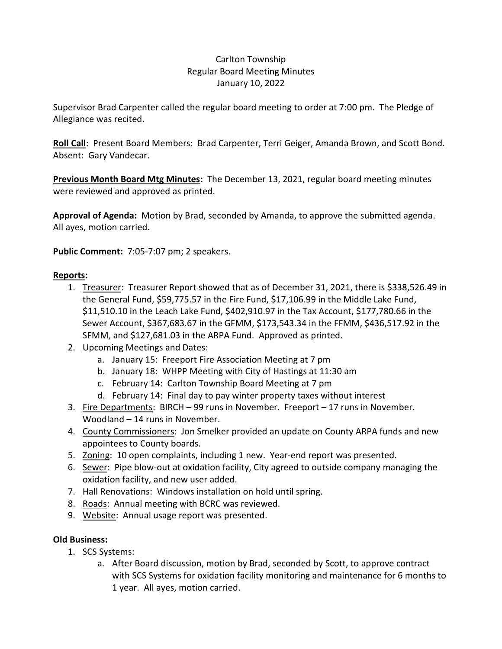## Carlton Township Regular Board Meeting Minutes January 10, 2022

Supervisor Brad Carpenter called the regular board meeting to order at 7:00 pm. The Pledge of Allegiance was recited.

**Roll Call**: Present Board Members: Brad Carpenter, Terri Geiger, Amanda Brown, and Scott Bond. Absent: Gary Vandecar.

**Previous Month Board Mtg Minutes:** The December 13, 2021, regular board meeting minutes were reviewed and approved as printed.

**Approval of Agenda:** Motion by Brad, seconded by Amanda, to approve the submitted agenda. All ayes, motion carried.

**Public Comment:** 7:05-7:07 pm; 2 speakers.

# **Reports:**

- 1. Treasurer: Treasurer Report showed that as of December 31, 2021, there is \$338,526.49 in the General Fund, \$59,775.57 in the Fire Fund, \$17,106.99 in the Middle Lake Fund, \$11,510.10 in the Leach Lake Fund, \$402,910.97 in the Tax Account, \$177,780.66 in the Sewer Account, \$367,683.67 in the GFMM, \$173,543.34 in the FFMM, \$436,517.92 in the SFMM, and \$127,681.03 in the ARPA Fund. Approved as printed.
- 2. Upcoming Meetings and Dates:
	- a. January 15: Freeport Fire Association Meeting at 7 pm
	- b. January 18: WHPP Meeting with City of Hastings at 11:30 am
	- c. February 14: Carlton Township Board Meeting at 7 pm
	- d. February 14: Final day to pay winter property taxes without interest
- 3. Fire Departments: BIRCH 99 runs in November. Freeport 17 runs in November. Woodland – 14 runs in November.
- 4. County Commissioners: Jon Smelker provided an update on County ARPA funds and new appointees to County boards.
- 5. Zoning: 10 open complaints, including 1 new. Year-end report was presented.
- 6. Sewer: Pipe blow-out at oxidation facility, City agreed to outside company managing the oxidation facility, and new user added.
- 7. Hall Renovations: Windows installation on hold until spring.
- 8. Roads: Annual meeting with BCRC was reviewed.
- 9. Website: Annual usage report was presented.

## **Old Business:**

- 1. SCS Systems:
	- a. After Board discussion, motion by Brad, seconded by Scott, to approve contract with SCS Systems for oxidation facility monitoring and maintenance for 6 months to 1 year. All ayes, motion carried.